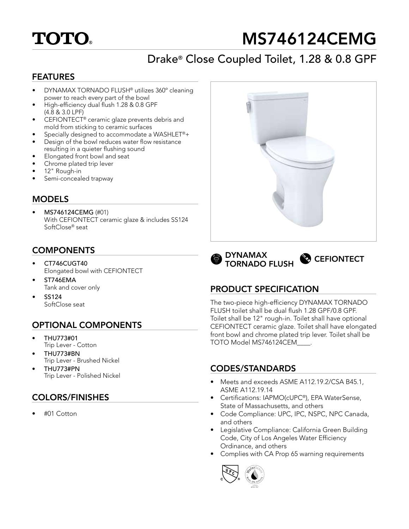# **TOTO.**

# MS746124CEMG

# Drake® Close Coupled Toilet, 1.28 & 0.8 GPF

#### FEATURES

- DYNAMAX TORNADO FLUSH® utilizes 360º cleaning power to reach every part of the bowl
- High-efficiency dual flush 1.28 & 0.8 GPF (4.8 & 3.0 LPF)
- CEFIONTECT® ceramic glaze prevents debris and mold from sticking to ceramic surfaces
- Specially designed to accommodate a WASHLET®+
- Design of the bowl reduces water flow resistance resulting in a quieter flushing sound
- Elongated front bowl and seat
- Chrome plated trip lever
- 12" Rough-in
- Semi-concealed trapway

#### **MODELS**

• MS746124CEMG (#01) With CEFIONTECT ceramic glaze & includes SS124 SoftClose® seat

# **COMPONENTS**

- CT746CUGT40 Elongated bowl with CEFIONTECT
- ST746EMA Tank and cover only
- SS124 SoftClose seat

## OPTIONAL COMPONENTS

- THU773#01 Trip Lever - Cotton
- THU773#BN Trip Lever - Brushed Nickel
- THU773#PN Trip Lever - Polished Nickel

## COLORS/FINISHES

• #01 Cotton





## PRODUCT SPECIFICATION

The two-piece high-efficiency DYNAMAX TORNADO FLUSH toilet shall be dual flush 1.28 GPF/0.8 GPF. Toilet shall be 12" rough-in. Toilet shall have optional CEFIONTECT ceramic glaze. Toilet shall have elongated front bowl and chrome plated trip lever. Toilet shall be TOTO Model MS746124CEM\_\_\_\_.

#### CODES/STANDARDS

- Meets and exceeds ASME A112.19.2/CSA B45.1, ASME A112.19.14
- Certifications: IAPMO(cUPC®), EPA WaterSense, State of Massachusetts, and others
- Code Compliance: UPC, IPC, NSPC, NPC Canada, and others
- Legislative Compliance: California Green Building Code, City of Los Angeles Water Efficiency Ordinance, and others
- Complies with CA Prop 65 warning requirements